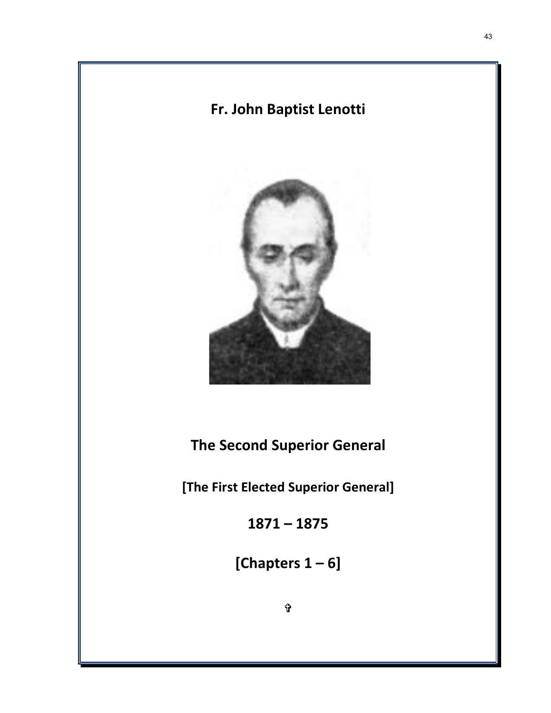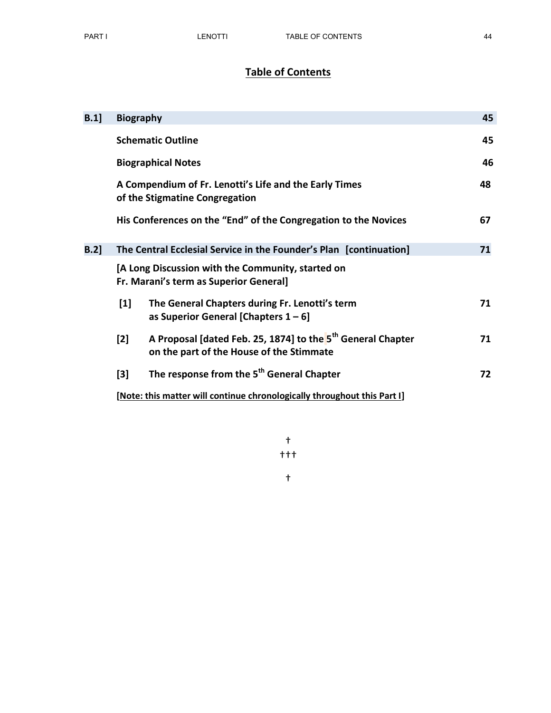# Table of Contents

| B.1  | <b>Biography</b>                                                                            |                                                                                                                     | 45 |  |
|------|---------------------------------------------------------------------------------------------|---------------------------------------------------------------------------------------------------------------------|----|--|
|      | <b>Schematic Outline</b>                                                                    |                                                                                                                     |    |  |
|      | <b>Biographical Notes</b>                                                                   |                                                                                                                     |    |  |
|      |                                                                                             | A Compendium of Fr. Lenotti's Life and the Early Times<br>of the Stigmatine Congregation                            | 48 |  |
|      |                                                                                             | His Conferences on the "End" of the Congregation to the Novices                                                     | 67 |  |
| B.2] | The Central Ecclesial Service in the Founder's Plan [continuation]                          |                                                                                                                     |    |  |
|      | [A Long Discussion with the Community, started on<br>Fr. Marani's term as Superior General] |                                                                                                                     |    |  |
|      | $[1]$                                                                                       | The General Chapters during Fr. Lenotti's term<br>as Superior General [Chapters $1 - 6$ ]                           | 71 |  |
|      | $[2]$                                                                                       | A Proposal [dated Feb. 25, 1874] to the 5 <sup>th</sup> General Chapter<br>on the part of the House of the Stimmate | 71 |  |
|      | $[3]$                                                                                       | The response from the 5 <sup>th</sup> General Chapter                                                               | 72 |  |
|      | [Note: this matter will continue chronologically throughout this Part I]                    |                                                                                                                     |    |  |

† †††

†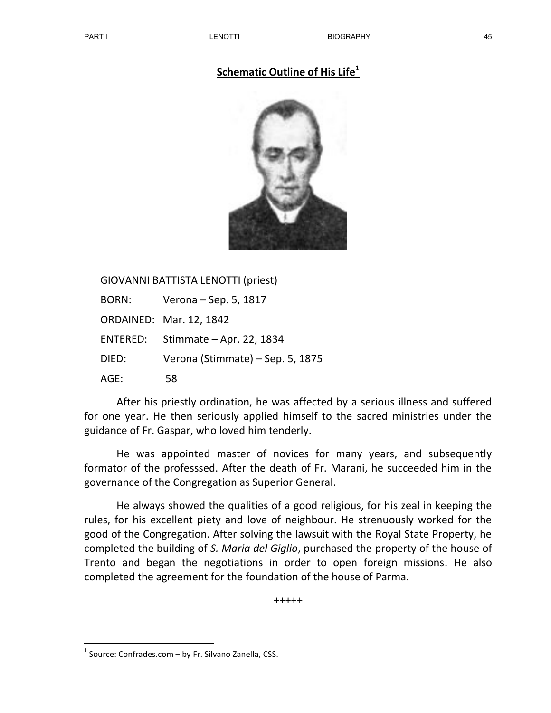## Schematic Outline of His Life $1$



GIOVANNI BATTISTA LENOTTI (priest)

| <b>BORN:</b> | Verona – Sep. 5, 1817            |
|--------------|----------------------------------|
|              | <b>ORDAINED: Mar. 12, 1842</b>   |
| ENTERED:     | Stimmate – Apr. 22, 1834         |
| DIED:        | Verona (Stimmate) - Sep. 5, 1875 |
| AGE:         | 58                               |

 After his priestly ordination, he was affected by a serious illness and suffered for one year. He then seriously applied himself to the sacred ministries under the guidance of Fr. Gaspar, who loved him tenderly.

He was appointed master of novices for many years, and subsequently formator of the professsed. After the death of Fr. Marani, he succeeded him in the governance of the Congregation as Superior General.

He always showed the qualities of a good religious, for his zeal in keeping the rules, for his excellent piety and love of neighbour. He strenuously worked for the good of the Congregation. After solving the lawsuit with the Royal State Property, he completed the building of S. Maria del Giglio, purchased the property of the house of Trento and began the negotiations in order to open foreign missions. He also completed the agreement for the foundation of the house of Parma.

+++++

-

 $<sup>1</sup>$  Source: Confrades.com – by Fr. Silvano Zanella, CSS.</sup>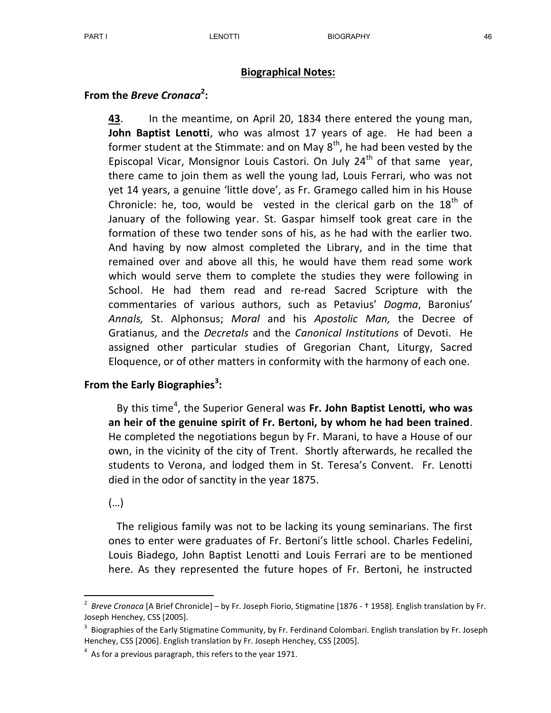### Biographical Notes:

# From the *Breve Cronaca*<sup>2</sup>:

43. In the meantime, on April 20, 1834 there entered the young man, John Baptist Lenotti, who was almost 17 years of age. He had been a former student at the Stimmate: and on May  $8<sup>th</sup>$ , he had been vested by the Episcopal Vicar, Monsignor Louis Castori. On July  $24<sup>th</sup>$  of that same year, there came to join them as well the young lad, Louis Ferrari, who was not yet 14 years, a genuine 'little dove', as Fr. Gramego called him in his House Chronicle: he, too, would be vested in the clerical garb on the  $18<sup>th</sup>$  of January of the following year. St. Gaspar himself took great care in the formation of these two tender sons of his, as he had with the earlier two. And having by now almost completed the Library, and in the time that remained over and above all this, he would have them read some work which would serve them to complete the studies they were following in School. He had them read and re-read Sacred Scripture with the commentaries of various authors, such as Petavius' Dogma, Baronius' Annals, St. Alphonsus; Moral and his Apostolic Man, the Decree of Gratianus, and the Decretals and the Canonical Institutions of Devoti. He assigned other particular studies of Gregorian Chant, Liturgy, Sacred Eloquence, or of other matters in conformity with the harmony of each one.

# From the Early Biographies<sup>3</sup>:

By this time<sup>4</sup>, the Superior General was Fr. John Baptist Lenotti, who was an heir of the genuine spirit of Fr. Bertoni, by whom he had been trained. He completed the negotiations begun by Fr. Marani, to have a House of our own, in the vicinity of the city of Trent. Shortly afterwards, he recalled the students to Verona, and lodged them in St. Teresa's Convent. Fr. Lenotti died in the odor of sanctity in the year 1875.

(…)

-

The religious family was not to be lacking its young seminarians. The first ones to enter were graduates of Fr. Bertoni's little school. Charles Fedelini, Louis Biadego, John Baptist Lenotti and Louis Ferrari are to be mentioned here. As they represented the future hopes of Fr. Bertoni, he instructed

<sup>&</sup>lt;sup>2</sup> Breve Cronaca [A Brief Chronicle] – by Fr. Joseph Fiorio, Stigmatine [1876 - † 1958]. English translation by Fr. Joseph Henchey, CSS [2005].

 $3$  Biographies of the Early Stigmatine Community, by Fr. Ferdinand Colombari. English translation by Fr. Joseph Henchey, CSS [2006]. English translation by Fr. Joseph Henchey, CSS [2005].

 $4$  As for a previous paragraph, this refers to the year 1971.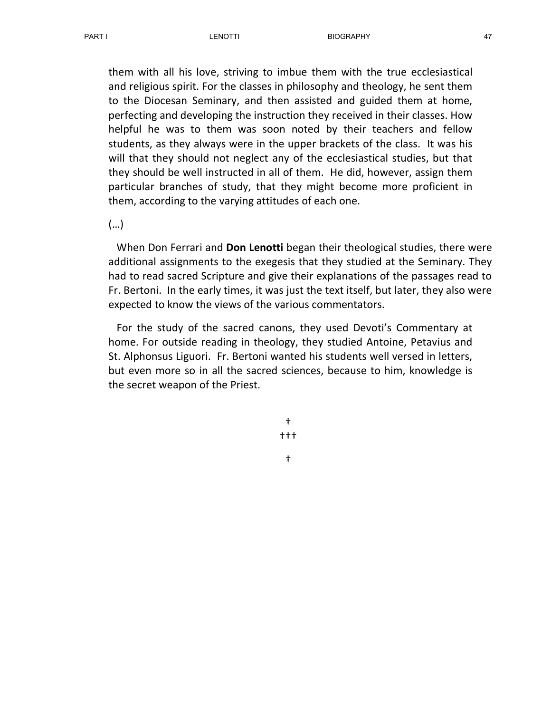them with all his love, striving to imbue them with the true ecclesiastical and religious spirit. For the classes in philosophy and theology, he sent them to the Diocesan Seminary, and then assisted and guided them at home, perfecting and developing the instruction they received in their classes. How helpful he was to them was soon noted by their teachers and fellow students, as they always were in the upper brackets of the class. It was his will that they should not neglect any of the ecclesiastical studies, but that they should be well instructed in all of them. He did, however, assign them particular branches of study, that they might become more proficient in them, according to the varying attitudes of each one.

(…)

When Don Ferrari and Don Lenotti began their theological studies, there were additional assignments to the exegesis that they studied at the Seminary. They had to read sacred Scripture and give their explanations of the passages read to Fr. Bertoni. In the early times, it was just the text itself, but later, they also were expected to know the views of the various commentators.

 For the study of the sacred canons, they used Devoti's Commentary at home. For outside reading in theology, they studied Antoine, Petavius and St. Alphonsus Liguori. Fr. Bertoni wanted his students well versed in letters, but even more so in all the sacred sciences, because to him, knowledge is the secret weapon of the Priest.

> † †††

> > †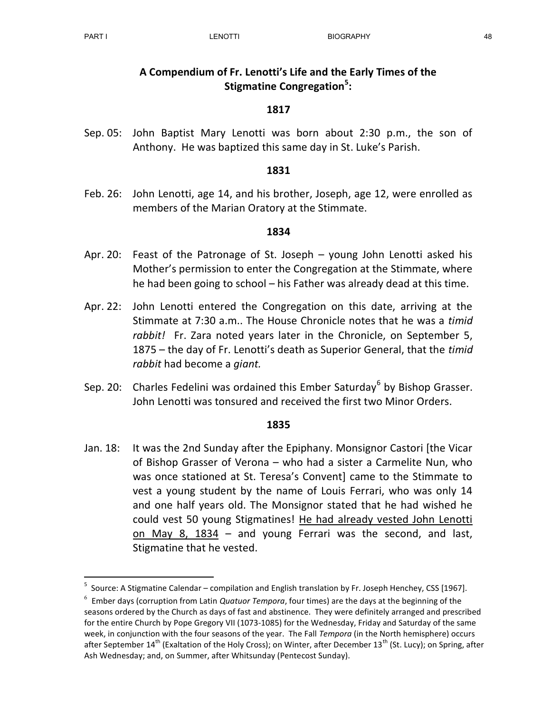-

## A Compendium of Fr. Lenotti's Life and the Early Times of the Stigmatine Congregation<sup>5</sup>:

## 1817

Sep. 05: John Baptist Mary Lenotti was born about 2:30 p.m., the son of Anthony. He was baptized this same day in St. Luke's Parish.

#### 1831

Feb. 26: John Lenotti, age 14, and his brother, Joseph, age 12, were enrolled as members of the Marian Oratory at the Stimmate.

#### 1834

- Apr. 20: Feast of the Patronage of St. Joseph young John Lenotti asked his Mother's permission to enter the Congregation at the Stimmate, where he had been going to school – his Father was already dead at this time.
- Apr. 22: John Lenotti entered the Congregation on this date, arriving at the Stimmate at 7:30 a.m.. The House Chronicle notes that he was a timid rabbit! Fr. Zara noted years later in the Chronicle, on September 5, 1875 – the day of Fr. Lenotti's death as Superior General, that the timid rabbit had become a giant.
- Sep. 20: Charles Fedelini was ordained this Ember Saturday<sup>6</sup> by Bishop Grasser. John Lenotti was tonsured and received the first two Minor Orders.

#### 1835

Jan. 18: It was the 2nd Sunday after the Epiphany. Monsignor Castori [the Vicar of Bishop Grasser of Verona – who had a sister a Carmelite Nun, who was once stationed at St. Teresa's Convent] came to the Stimmate to vest a young student by the name of Louis Ferrari, who was only 14 and one half years old. The Monsignor stated that he had wished he could vest 50 young Stigmatines! He had already vested John Lenotti on May 8, 1834 – and young Ferrari was the second, and last, Stigmatine that he vested.

<sup>5</sup> Source: A Stigmatine Calendar – compilation and English translation by Fr. Joseph Henchey, CSS [1967].

 $^6$  Ember days (corruption from Latin Quatuor Tempora, four times) are the days at the beginning of the seasons ordered by the Church as days of fast and abstinence. They were definitely arranged and prescribed for the entire Church by Pope Gregory VII (1073-1085) for the Wednesday, Friday and Saturday of the same week, in conjunction with the four seasons of the year. The Fall Tempora (in the North hemisphere) occurs after September  $14^{th}$  (Exaltation of the Holy Cross); on Winter, after December  $13^{th}$  (St. Lucy); on Spring, after Ash Wednesday; and, on Summer, after Whitsunday (Pentecost Sunday).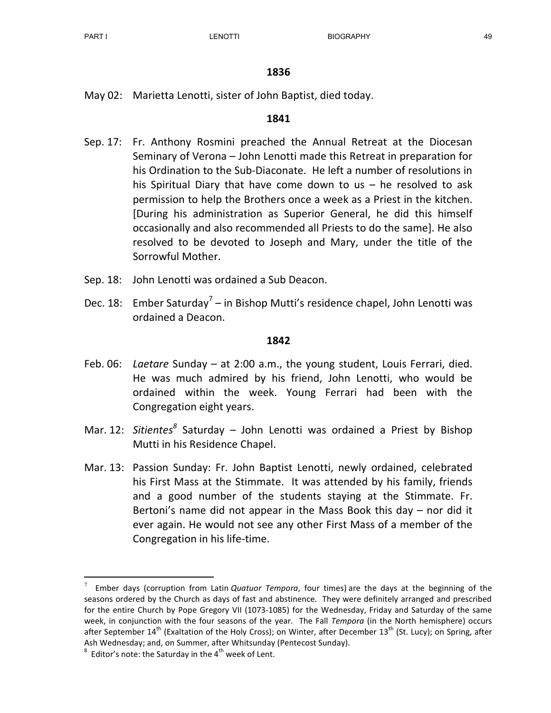May 02: Marietta Lenotti, sister of John Baptist, died today.

## 1841

- Sep. 17: Fr. Anthony Rosmini preached the Annual Retreat at the Diocesan Seminary of Verona – John Lenotti made this Retreat in preparation for his Ordination to the Sub-Diaconate. He left a number of resolutions in his Spiritual Diary that have come down to us – he resolved to ask permission to help the Brothers once a week as a Priest in the kitchen. [During his administration as Superior General, he did this himself occasionally and also recommended all Priests to do the same]. He also resolved to be devoted to Joseph and Mary, under the title of the Sorrowful Mother.
- Sep. 18: John Lenotti was ordained a Sub Deacon.
- Dec. 18: Ember Saturday<sup>7</sup> in Bishop Mutti's residence chapel, John Lenotti was ordained a Deacon.

### 1842

- Feb. 06: Laetare Sunday at 2:00 a.m., the young student, Louis Ferrari, died. He was much admired by his friend, John Lenotti, who would be ordained within the week. Young Ferrari had been with the Congregation eight years.
- Mar. 12: Sitientes<sup>8</sup> Saturday John Lenotti was ordained a Priest by Bishop Mutti in his Residence Chapel.
- Mar. 13: Passion Sunday: Fr. John Baptist Lenotti, newly ordained, celebrated his First Mass at the Stimmate. It was attended by his family, friends and a good number of the students staying at the Stimmate. Fr. Bertoni's name did not appear in the Mass Book this day – nor did it ever again. He would not see any other First Mass of a member of the Congregation in his life-time.

-

<sup>7</sup> Ember days (corruption from Latin Quatuor Tempora, four times) are the days at the beginning of the seasons ordered by the Church as days of fast and abstinence. They were definitely arranged and prescribed for the entire Church by Pope Gregory VII (1073-1085) for the Wednesday, Friday and Saturday of the same week, in conjunction with the four seasons of the year. The Fall Tempora (in the North hemisphere) occurs after September  $14<sup>th</sup>$  (Exaltation of the Holy Cross); on Winter, after December  $13<sup>th</sup>$  (St. Lucy); on Spring, after Ash Wednesday; and, on Summer, after Whitsunday (Pentecost Sunday).

<sup>8</sup> Editor's note: the Saturday in the  $4<sup>th</sup>$  week of Lent.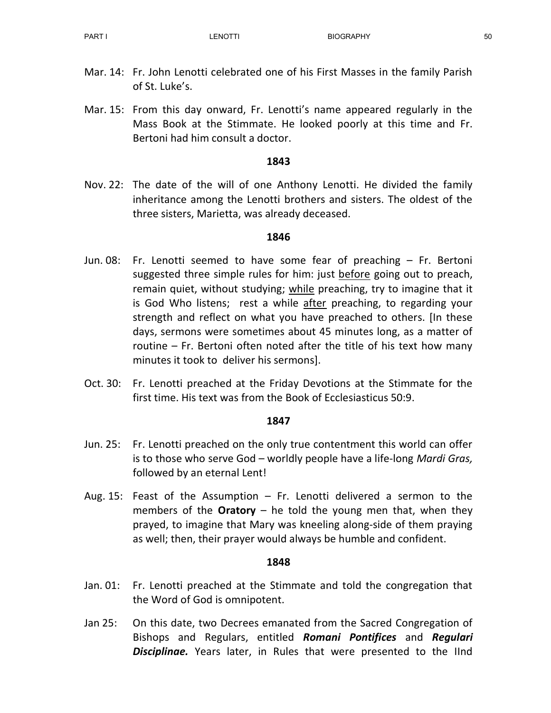- Mar. 14: Fr. John Lenotti celebrated one of his First Masses in the family Parish of St. Luke's.
- Mar. 15: From this day onward, Fr. Lenotti's name appeared regularly in the Mass Book at the Stimmate. He looked poorly at this time and Fr. Bertoni had him consult a doctor.

Nov. 22: The date of the will of one Anthony Lenotti. He divided the family inheritance among the Lenotti brothers and sisters. The oldest of the three sisters, Marietta, was already deceased.

## 1846

- Jun. 08: Fr. Lenotti seemed to have some fear of preaching Fr. Bertoni suggested three simple rules for him: just before going out to preach, remain quiet, without studying; while preaching, try to imagine that it is God Who listens; rest a while after preaching, to regarding your strength and reflect on what you have preached to others. [In these days, sermons were sometimes about 45 minutes long, as a matter of routine – Fr. Bertoni often noted after the title of his text how many minutes it took to deliver his sermons].
- Oct. 30: Fr. Lenotti preached at the Friday Devotions at the Stimmate for the first time. His text was from the Book of Ecclesiasticus 50:9.

## 1847

- Jun. 25: Fr. Lenotti preached on the only true contentment this world can offer is to those who serve God – worldly people have a life-long Mardi Gras, followed by an eternal Lent!
- Aug. 15: Feast of the Assumption Fr. Lenotti delivered a sermon to the members of the **Oratory** – he told the young men that, when they prayed, to imagine that Mary was kneeling along-side of them praying as well; then, their prayer would always be humble and confident.

- Jan. 01: Fr. Lenotti preached at the Stimmate and told the congregation that the Word of God is omnipotent.
- Jan 25: On this date, two Decrees emanated from the Sacred Congregation of Bishops and Regulars, entitled Romani Pontifices and Regulari **Disciplinae.** Years later, in Rules that were presented to the lind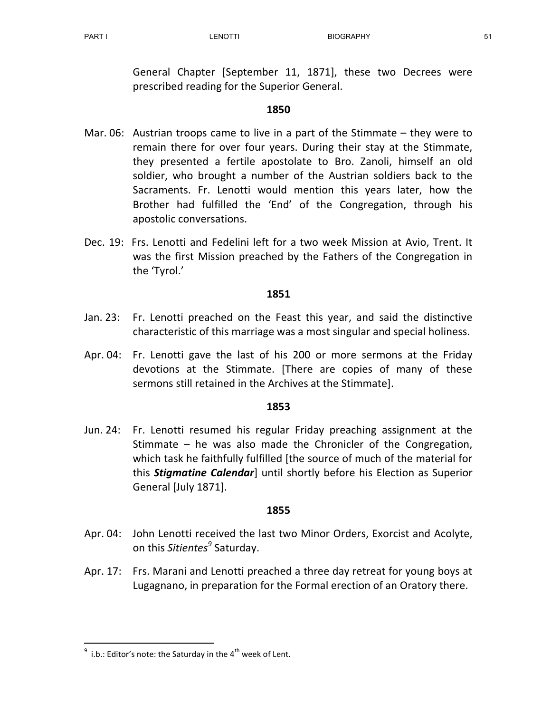General Chapter [September 11, 1871], these two Decrees were prescribed reading for the Superior General.

## 1850

- Mar. 06: Austrian troops came to live in a part of the Stimmate they were to remain there for over four years. During their stay at the Stimmate, they presented a fertile apostolate to Bro. Zanoli, himself an old soldier, who brought a number of the Austrian soldiers back to the Sacraments. Fr. Lenotti would mention this years later, how the Brother had fulfilled the 'End' of the Congregation, through his apostolic conversations.
- Dec. 19: Frs. Lenotti and Fedelini left for a two week Mission at Avio, Trent. It was the first Mission preached by the Fathers of the Congregation in the 'Tyrol.'

### 1851

- Jan. 23: Fr. Lenotti preached on the Feast this year, and said the distinctive characteristic of this marriage was a most singular and special holiness.
- Apr. 04: Fr. Lenotti gave the last of his 200 or more sermons at the Friday devotions at the Stimmate. [There are copies of many of these sermons still retained in the Archives at the Stimmate].

## 1853

Jun. 24: Fr. Lenotti resumed his regular Friday preaching assignment at the Stimmate – he was also made the Chronicler of the Congregation, which task he faithfully fulfilled [the source of much of the material for this **Stigmatine Calendar**] until shortly before his Election as Superior General [July 1871].

#### 1855

- Apr. 04: John Lenotti received the last two Minor Orders, Exorcist and Acolyte, on this *Sitientes<sup>9</sup>* Saturday.
- Apr. 17: Frs. Marani and Lenotti preached a three day retreat for young boys at Lugagnano, in preparation for the Formal erection of an Oratory there.

-

<sup>9</sup> i.b.: Editor's note: the Saturday in the  $4^{\text{th}}$  week of Lent.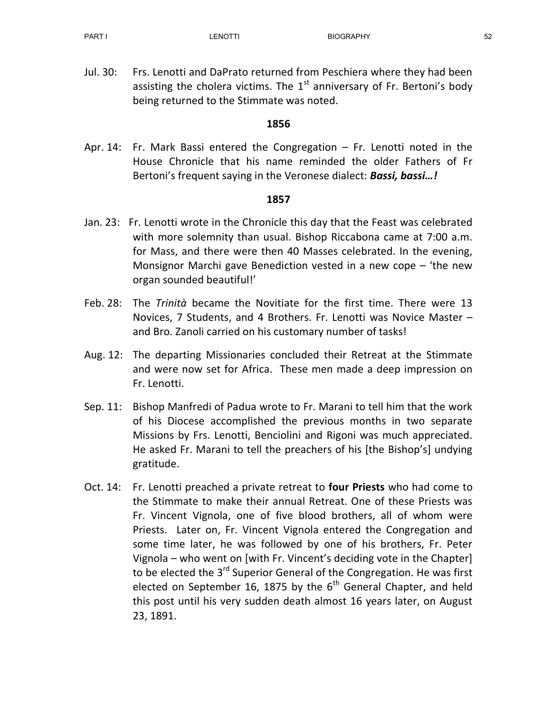Jul. 30: Frs. Lenotti and DaPrato returned from Peschiera where they had been assisting the cholera victims. The  $1<sup>st</sup>$  anniversary of Fr. Bertoni's body being returned to the Stimmate was noted.

## 1856

Apr. 14: Fr. Mark Bassi entered the Congregation – Fr. Lenotti noted in the House Chronicle that his name reminded the older Fathers of Fr Bertoni's frequent saying in the Veronese dialect: **Bassi, bassi...!** 

- Jan. 23: Fr. Lenotti wrote in the Chronicle this day that the Feast was celebrated with more solemnity than usual. Bishop Riccabona came at 7:00 a.m. for Mass, and there were then 40 Masses celebrated. In the evening, Monsignor Marchi gave Benediction vested in a new cope – 'the new organ sounded beautiful!'
- Feb. 28: The Trinità became the Novitiate for the first time. There were 13 Novices, 7 Students, and 4 Brothers. Fr. Lenotti was Novice Master – and Bro. Zanoli carried on his customary number of tasks!
- Aug. 12: The departing Missionaries concluded their Retreat at the Stimmate and were now set for Africa. These men made a deep impression on Fr. Lenotti.
- Sep. 11: Bishop Manfredi of Padua wrote to Fr. Marani to tell him that the work of his Diocese accomplished the previous months in two separate Missions by Frs. Lenotti, Benciolini and Rigoni was much appreciated. He asked Fr. Marani to tell the preachers of his [the Bishop's] undying gratitude.
- Oct. 14: Fr. Lenotti preached a private retreat to four Priests who had come to the Stimmate to make their annual Retreat. One of these Priests was Fr. Vincent Vignola, one of five blood brothers, all of whom were Priests. Later on, Fr. Vincent Vignola entered the Congregation and some time later, he was followed by one of his brothers, Fr. Peter Vignola – who went on [with Fr. Vincent's deciding vote in the Chapter] to be elected the 3<sup>rd</sup> Superior General of the Congregation. He was first elected on September 16, 1875 by the  $6<sup>th</sup>$  General Chapter, and held this post until his very sudden death almost 16 years later, on August 23, 1891.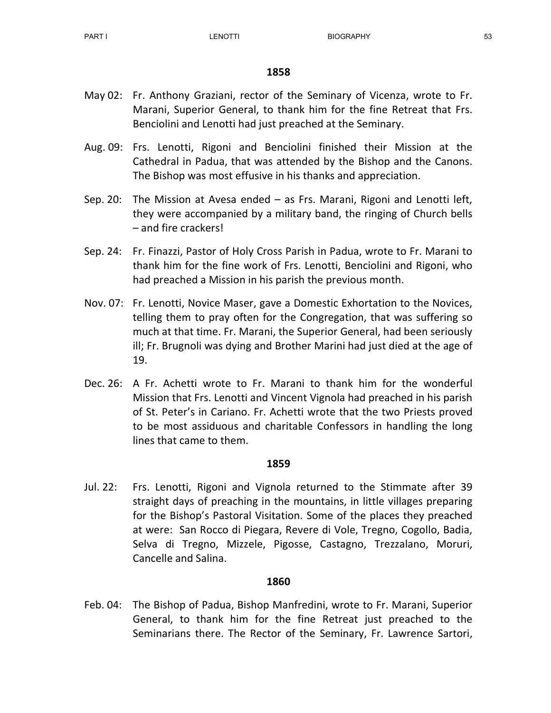- May 02: Fr. Anthony Graziani, rector of the Seminary of Vicenza, wrote to Fr. Marani, Superior General, to thank him for the fine Retreat that Frs. Benciolini and Lenotti had just preached at the Seminary.
- Aug. 09: Frs. Lenotti, Rigoni and Benciolini finished their Mission at the Cathedral in Padua, that was attended by the Bishop and the Canons. The Bishop was most effusive in his thanks and appreciation.
- Sep. 20: The Mission at Avesa ended as Frs. Marani, Rigoni and Lenotti left, they were accompanied by a military band, the ringing of Church bells – and fire crackers!
- Sep. 24: Fr. Finazzi, Pastor of Holy Cross Parish in Padua, wrote to Fr. Marani to thank him for the fine work of Frs. Lenotti, Benciolini and Rigoni, who had preached a Mission in his parish the previous month.
- Nov. 07: Fr. Lenotti, Novice Maser, gave a Domestic Exhortation to the Novices, telling them to pray often for the Congregation, that was suffering so much at that time. Fr. Marani, the Superior General, had been seriously ill; Fr. Brugnoli was dying and Brother Marini had just died at the age of 19.
- Dec. 26: A Fr. Achetti wrote to Fr. Marani to thank him for the wonderful Mission that Frs. Lenotti and Vincent Vignola had preached in his parish of St. Peter's in Cariano. Fr. Achetti wrote that the two Priests proved to be most assiduous and charitable Confessors in handling the long lines that came to them.

#### 1859

Jul. 22: Frs. Lenotti, Rigoni and Vignola returned to the Stimmate after 39 straight days of preaching in the mountains, in little villages preparing for the Bishop's Pastoral Visitation. Some of the places they preached at were: San Rocco di Piegara, Revere di Vole, Tregno, Cogollo, Badia, Selva di Tregno, Mizzele, Pigosse, Castagno, Trezzalano, Moruri, Cancelle and Salina.

#### 1860

Feb. 04: The Bishop of Padua, Bishop Manfredini, wrote to Fr. Marani, Superior General, to thank him for the fine Retreat just preached to the Seminarians there. The Rector of the Seminary, Fr. Lawrence Sartori,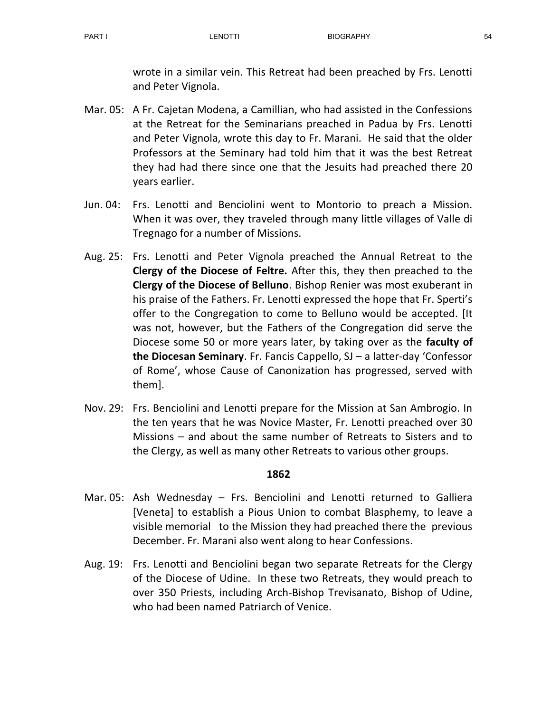wrote in a similar vein. This Retreat had been preached by Frs. Lenotti and Peter Vignola.

- Mar. 05: A Fr. Cajetan Modena, a Camillian, who had assisted in the Confessions at the Retreat for the Seminarians preached in Padua by Frs. Lenotti and Peter Vignola, wrote this day to Fr. Marani. He said that the older Professors at the Seminary had told him that it was the best Retreat they had had there since one that the Jesuits had preached there 20 years earlier.
- Jun. 04: Frs. Lenotti and Benciolini went to Montorio to preach a Mission. When it was over, they traveled through many little villages of Valle di Tregnago for a number of Missions.
- Aug. 25: Frs. Lenotti and Peter Vignola preached the Annual Retreat to the Clergy of the Diocese of Feltre. After this, they then preached to the Clergy of the Diocese of Belluno. Bishop Renier was most exuberant in his praise of the Fathers. Fr. Lenotti expressed the hope that Fr. Sperti's offer to the Congregation to come to Belluno would be accepted. [It was not, however, but the Fathers of the Congregation did serve the Diocese some 50 or more years later, by taking over as the faculty of the Diocesan Seminary. Fr. Fancis Cappello, SJ – a latter-day 'Confessor of Rome', whose Cause of Canonization has progressed, served with them].
- Nov. 29: Frs. Benciolini and Lenotti prepare for the Mission at San Ambrogio. In the ten years that he was Novice Master, Fr. Lenotti preached over 30 Missions – and about the same number of Retreats to Sisters and to the Clergy, as well as many other Retreats to various other groups.

- Mar. 05: Ash Wednesday Frs. Benciolini and Lenotti returned to Galliera [Veneta] to establish a Pious Union to combat Blasphemy, to leave a visible memorial to the Mission they had preached there the previous December. Fr. Marani also went along to hear Confessions.
- Aug. 19: Frs. Lenotti and Benciolini began two separate Retreats for the Clergy of the Diocese of Udine. In these two Retreats, they would preach to over 350 Priests, including Arch-Bishop Trevisanato, Bishop of Udine, who had been named Patriarch of Venice.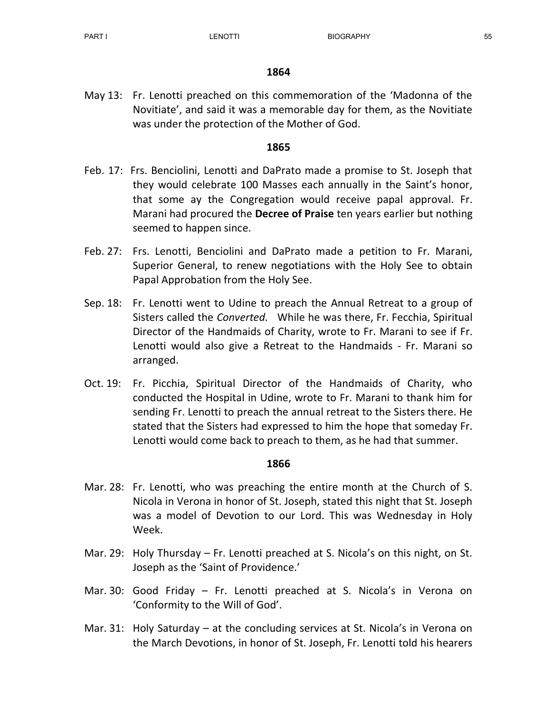May 13: Fr. Lenotti preached on this commemoration of the 'Madonna of the Novitiate', and said it was a memorable day for them, as the Novitiate was under the protection of the Mother of God.

#### 1865

- Feb. 17: Frs. Benciolini, Lenotti and DaPrato made a promise to St. Joseph that they would celebrate 100 Masses each annually in the Saint's honor, that some ay the Congregation would receive papal approval. Fr. Marani had procured the **Decree of Praise** ten years earlier but nothing seemed to happen since.
- Feb. 27: Frs. Lenotti, Benciolini and DaPrato made a petition to Fr. Marani, Superior General, to renew negotiations with the Holy See to obtain Papal Approbation from the Holy See.
- Sep. 18: Fr. Lenotti went to Udine to preach the Annual Retreat to a group of Sisters called the Converted. While he was there, Fr. Fecchia, Spiritual Director of the Handmaids of Charity, wrote to Fr. Marani to see if Fr. Lenotti would also give a Retreat to the Handmaids - Fr. Marani so arranged.
- Oct. 19: Fr. Picchia, Spiritual Director of the Handmaids of Charity, who conducted the Hospital in Udine, wrote to Fr. Marani to thank him for sending Fr. Lenotti to preach the annual retreat to the Sisters there. He stated that the Sisters had expressed to him the hope that someday Fr. Lenotti would come back to preach to them, as he had that summer.

- Mar. 28: Fr. Lenotti, who was preaching the entire month at the Church of S. Nicola in Verona in honor of St. Joseph, stated this night that St. Joseph was a model of Devotion to our Lord. This was Wednesday in Holy Week.
- Mar. 29: Holy Thursday Fr. Lenotti preached at S. Nicola's on this night, on St. Joseph as the 'Saint of Providence.'
- Mar. 30: Good Friday Fr. Lenotti preached at S. Nicola's in Verona on 'Conformity to the Will of God'.
- Mar. 31: Holy Saturday at the concluding services at St. Nicola's in Verona on the March Devotions, in honor of St. Joseph, Fr. Lenotti told his hearers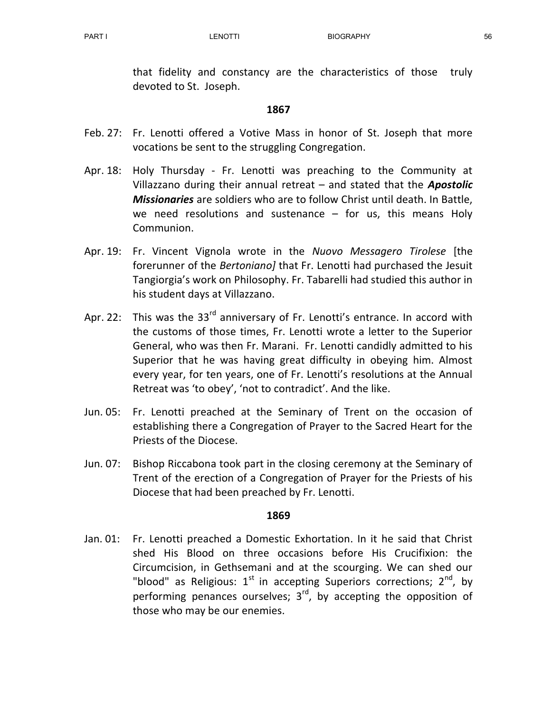that fidelity and constancy are the characteristics of those truly devoted to St. Joseph.

## 1867

- Feb. 27: Fr. Lenotti offered a Votive Mass in honor of St. Joseph that more vocations be sent to the struggling Congregation.
- Apr. 18: Holy Thursday Fr. Lenotti was preaching to the Community at Villazzano during their annual retreat  $-$  and stated that the **Apostolic Missionaries** are soldiers who are to follow Christ until death. In Battle, we need resolutions and sustenance  $-$  for us, this means Holy Communion.
- Apr. 19: Fr. Vincent Vignola wrote in the Nuovo Messagero Tirolese [the forerunner of the Bertoniano] that Fr. Lenotti had purchased the Jesuit Tangiorgia's work on Philosophy. Fr. Tabarelli had studied this author in his student days at Villazzano.
- Apr. 22: This was the  $33^{rd}$  anniversary of Fr. Lenotti's entrance. In accord with the customs of those times, Fr. Lenotti wrote a letter to the Superior General, who was then Fr. Marani. Fr. Lenotti candidly admitted to his Superior that he was having great difficulty in obeying him. Almost every year, for ten years, one of Fr. Lenotti's resolutions at the Annual Retreat was 'to obey', 'not to contradict'. And the like.
- Jun. 05: Fr. Lenotti preached at the Seminary of Trent on the occasion of establishing there a Congregation of Prayer to the Sacred Heart for the Priests of the Diocese.
- Jun. 07: Bishop Riccabona took part in the closing ceremony at the Seminary of Trent of the erection of a Congregation of Prayer for the Priests of his Diocese that had been preached by Fr. Lenotti.

## 1869

Jan. 01: Fr. Lenotti preached a Domestic Exhortation. In it he said that Christ shed His Blood on three occasions before His Crucifixion: the Circumcision, in Gethsemani and at the scourging. We can shed our "blood" as Religious:  $1^{st}$  in accepting Superiors corrections;  $2^{nd}$ , by performing penances ourselves;  $3<sup>rd</sup>$ , by accepting the opposition of those who may be our enemies.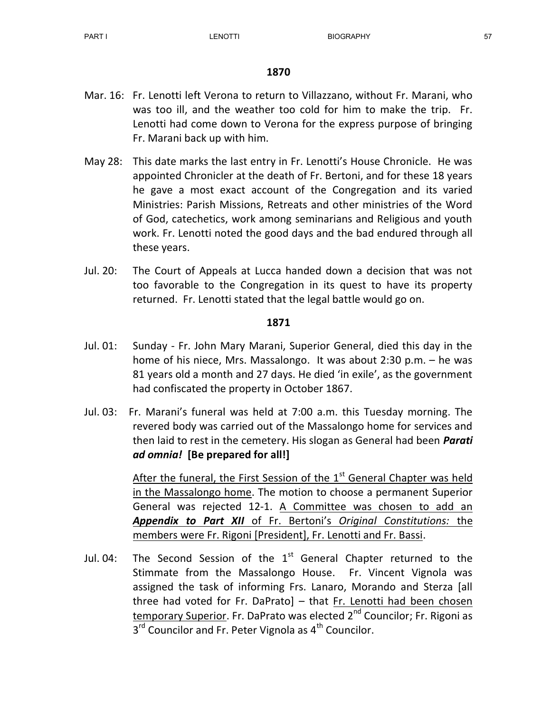- Mar. 16: Fr. Lenotti left Verona to return to Villazzano, without Fr. Marani, who was too ill, and the weather too cold for him to make the trip. Fr. Lenotti had come down to Verona for the express purpose of bringing Fr. Marani back up with him.
- May 28: This date marks the last entry in Fr. Lenotti's House Chronicle. He was appointed Chronicler at the death of Fr. Bertoni, and for these 18 years he gave a most exact account of the Congregation and its varied Ministries: Parish Missions, Retreats and other ministries of the Word of God, catechetics, work among seminarians and Religious and youth work. Fr. Lenotti noted the good days and the bad endured through all these years.
- Jul. 20: The Court of Appeals at Lucca handed down a decision that was not too favorable to the Congregation in its quest to have its property returned. Fr. Lenotti stated that the legal battle would go on.

#### 1871

- Jul. 01: Sunday Fr. John Mary Marani, Superior General, died this day in the home of his niece, Mrs. Massalongo. It was about 2:30 p.m. – he was 81 years old a month and 27 days. He died 'in exile', as the government had confiscated the property in October 1867.
- Jul. 03: Fr. Marani's funeral was held at 7:00 a.m. this Tuesday morning. The revered body was carried out of the Massalongo home for services and then laid to rest in the cemetery. His slogan as General had been *Parati* ad omnia! [Be prepared for all!]

After the funeral, the First Session of the  $1<sup>st</sup>$  General Chapter was held in the Massalongo home. The motion to choose a permanent Superior General was rejected 12-1. A Committee was chosen to add an Appendix to Part XII of Fr. Bertoni's Original Constitutions: the members were Fr. Rigoni [President], Fr. Lenotti and Fr. Bassi.

Jul. 04: The Second Session of the  $1<sup>st</sup>$  General Chapter returned to the Stimmate from the Massalongo House. Fr. Vincent Vignola was assigned the task of informing Frs. Lanaro, Morando and Sterza [all three had voted for Fr. DaPrato] – that Fr. Lenotti had been chosen temporary Superior. Fr. DaPrato was elected 2<sup>nd</sup> Councilor; Fr. Rigoni as 3<sup>rd</sup> Councilor and Fr. Peter Vignola as 4<sup>th</sup> Councilor.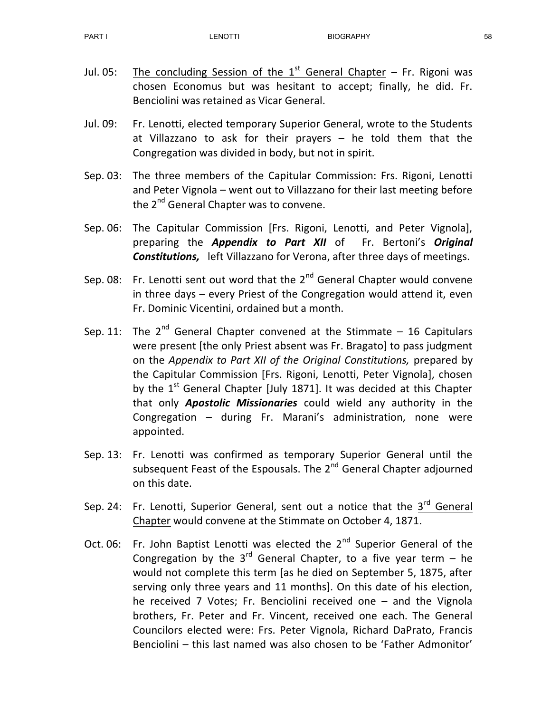- Jul. 05: The concluding Session of the  $1<sup>st</sup>$  General Chapter Fr. Rigoni was chosen Economus but was hesitant to accept; finally, he did. Fr. Benciolini was retained as Vicar General.
- Jul. 09: Fr. Lenotti, elected temporary Superior General, wrote to the Students at Villazzano to ask for their prayers – he told them that the Congregation was divided in body, but not in spirit.
- Sep. 03: The three members of the Capitular Commission: Frs. Rigoni, Lenotti and Peter Vignola – went out to Villazzano for their last meeting before the 2<sup>nd</sup> General Chapter was to convene.
- Sep. 06: The Capitular Commission [Frs. Rigoni, Lenotti, and Peter Vignola], preparing the Appendix to Part XII of Fr. Bertoni's Original Constitutions, left Villazzano for Verona, after three days of meetings.
- Sep. 08: Fr. Lenotti sent out word that the  $2^{nd}$  General Chapter would convene in three days – every Priest of the Congregation would attend it, even Fr. Dominic Vicentini, ordained but a month.
- Sep. 11: The  $2^{nd}$  General Chapter convened at the Stimmate 16 Capitulars were present [the only Priest absent was Fr. Bragato] to pass judgment on the Appendix to Part XII of the Original Constitutions, prepared by the Capitular Commission [Frs. Rigoni, Lenotti, Peter Vignola], chosen by the  $1<sup>st</sup>$  General Chapter [July 1871]. It was decided at this Chapter that only **Apostolic Missionaries** could wield any authority in the Congregation – during Fr. Marani's administration, none were appointed.
- Sep. 13: Fr. Lenotti was confirmed as temporary Superior General until the subsequent Feast of the Espousals. The 2<sup>nd</sup> General Chapter adjourned on this date.
- Sep. 24: Fr. Lenotti, Superior General, sent out a notice that the  $3<sup>rd</sup>$  General Chapter would convene at the Stimmate on October 4, 1871.
- Oct. 06: Fr. John Baptist Lenotti was elected the  $2^{nd}$  Superior General of the Congregation by the  $3^{rd}$  General Chapter, to a five year term – he would not complete this term [as he died on September 5, 1875, after serving only three years and 11 months]. On this date of his election, he received 7 Votes; Fr. Benciolini received one – and the Vignola brothers, Fr. Peter and Fr. Vincent, received one each. The General Councilors elected were: Frs. Peter Vignola, Richard DaPrato, Francis Benciolini – this last named was also chosen to be 'Father Admonitor'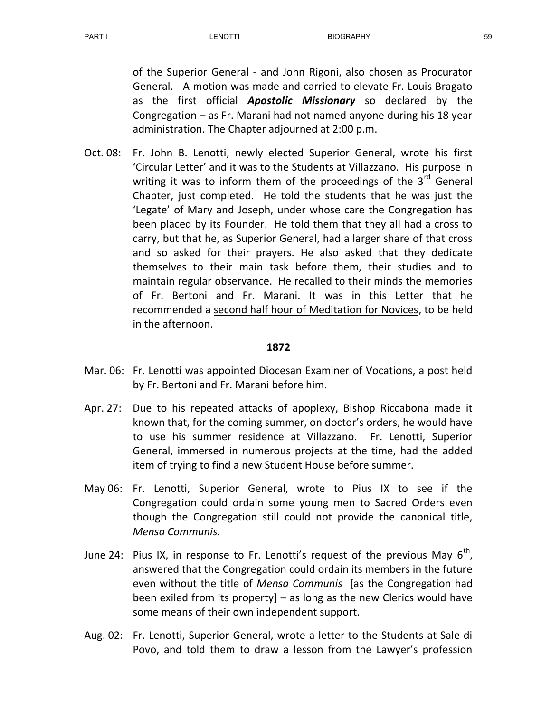of the Superior General - and John Rigoni, also chosen as Procurator General. A motion was made and carried to elevate Fr. Louis Bragato as the first official **Apostolic Missionary** so declared by the Congregation – as Fr. Marani had not named anyone during his 18 year administration. The Chapter adjourned at 2:00 p.m.

Oct. 08: Fr. John B. Lenotti, newly elected Superior General, wrote his first 'Circular Letter' and it was to the Students at Villazzano. His purpose in writing it was to inform them of the proceedings of the  $3^{rd}$  General Chapter, just completed. He told the students that he was just the 'Legate' of Mary and Joseph, under whose care the Congregation has been placed by its Founder. He told them that they all had a cross to carry, but that he, as Superior General, had a larger share of that cross and so asked for their prayers. He also asked that they dedicate themselves to their main task before them, their studies and to maintain regular observance. He recalled to their minds the memories of Fr. Bertoni and Fr. Marani. It was in this Letter that he recommended a second half hour of Meditation for Novices, to be held in the afternoon.

- Mar. 06: Fr. Lenotti was appointed Diocesan Examiner of Vocations, a post held by Fr. Bertoni and Fr. Marani before him.
- Apr. 27: Due to his repeated attacks of apoplexy, Bishop Riccabona made it known that, for the coming summer, on doctor's orders, he would have to use his summer residence at Villazzano. Fr. Lenotti, Superior General, immersed in numerous projects at the time, had the added item of trying to find a new Student House before summer.
- May 06: Fr. Lenotti, Superior General, wrote to Pius IX to see if the Congregation could ordain some young men to Sacred Orders even though the Congregation still could not provide the canonical title, Mensa Communis.
- June 24: Pius IX, in response to Fr. Lenotti's request of the previous May  $6^{th}$ , answered that the Congregation could ordain its members in the future even without the title of Mensa Communis [as the Congregation had been exiled from its property] – as long as the new Clerics would have some means of their own independent support.
- Aug. 02: Fr. Lenotti, Superior General, wrote a letter to the Students at Sale di Povo, and told them to draw a lesson from the Lawyer's profession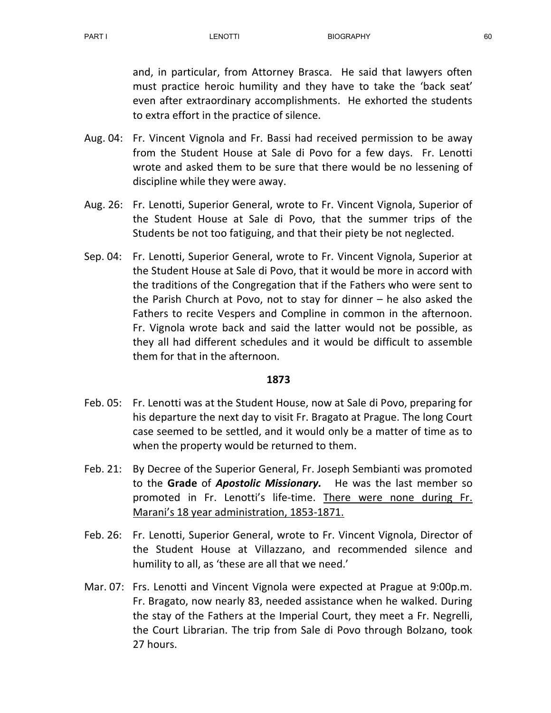and, in particular, from Attorney Brasca. He said that lawyers often must practice heroic humility and they have to take the 'back seat' even after extraordinary accomplishments. He exhorted the students to extra effort in the practice of silence.

- Aug. 04: Fr. Vincent Vignola and Fr. Bassi had received permission to be away from the Student House at Sale di Povo for a few days. Fr. Lenotti wrote and asked them to be sure that there would be no lessening of discipline while they were away.
- Aug. 26: Fr. Lenotti, Superior General, wrote to Fr. Vincent Vignola, Superior of the Student House at Sale di Povo, that the summer trips of the Students be not too fatiguing, and that their piety be not neglected.
- Sep. 04: Fr. Lenotti, Superior General, wrote to Fr. Vincent Vignola, Superior at the Student House at Sale di Povo, that it would be more in accord with the traditions of the Congregation that if the Fathers who were sent to the Parish Church at Povo, not to stay for dinner – he also asked the Fathers to recite Vespers and Compline in common in the afternoon. Fr. Vignola wrote back and said the latter would not be possible, as they all had different schedules and it would be difficult to assemble them for that in the afternoon.

- Feb. 05: Fr. Lenotti was at the Student House, now at Sale di Povo, preparing for his departure the next day to visit Fr. Bragato at Prague. The long Court case seemed to be settled, and it would only be a matter of time as to when the property would be returned to them.
- Feb. 21: By Decree of the Superior General, Fr. Joseph Sembianti was promoted to the Grade of Apostolic Missionary. He was the last member so promoted in Fr. Lenotti's life-time. There were none during Fr. Marani's 18 year administration, 1853-1871.
- Feb. 26: Fr. Lenotti, Superior General, wrote to Fr. Vincent Vignola, Director of the Student House at Villazzano, and recommended silence and humility to all, as 'these are all that we need.'
- Mar. 07: Frs. Lenotti and Vincent Vignola were expected at Prague at 9:00p.m. Fr. Bragato, now nearly 83, needed assistance when he walked. During the stay of the Fathers at the Imperial Court, they meet a Fr. Negrelli, the Court Librarian. The trip from Sale di Povo through Bolzano, took 27 hours.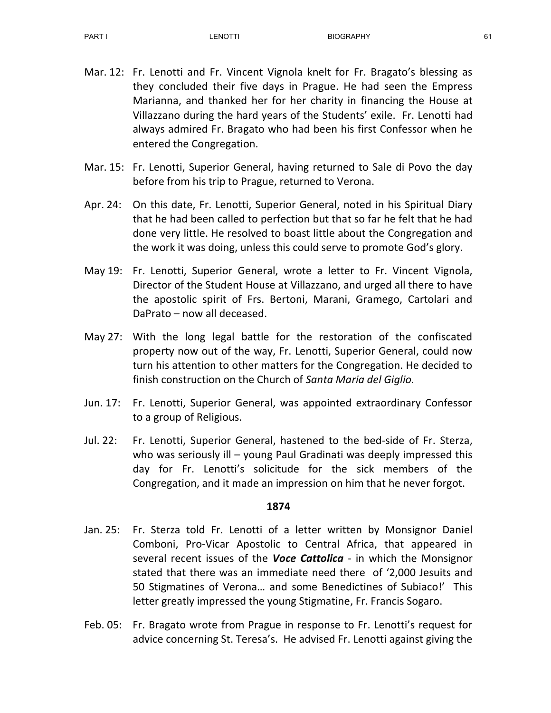- Mar. 12: Fr. Lenotti and Fr. Vincent Vignola knelt for Fr. Bragato's blessing as they concluded their five days in Prague. He had seen the Empress Marianna, and thanked her for her charity in financing the House at Villazzano during the hard years of the Students' exile. Fr. Lenotti had always admired Fr. Bragato who had been his first Confessor when he entered the Congregation.
- Mar. 15: Fr. Lenotti, Superior General, having returned to Sale di Povo the day before from his trip to Prague, returned to Verona.
- Apr. 24: On this date, Fr. Lenotti, Superior General, noted in his Spiritual Diary that he had been called to perfection but that so far he felt that he had done very little. He resolved to boast little about the Congregation and the work it was doing, unless this could serve to promote God's glory.
- May 19: Fr. Lenotti, Superior General, wrote a letter to Fr. Vincent Vignola, Director of the Student House at Villazzano, and urged all there to have the apostolic spirit of Frs. Bertoni, Marani, Gramego, Cartolari and DaPrato – now all deceased.
- May 27: With the long legal battle for the restoration of the confiscated property now out of the way, Fr. Lenotti, Superior General, could now turn his attention to other matters for the Congregation. He decided to finish construction on the Church of Santa Maria del Giglio.
- Jun. 17: Fr. Lenotti, Superior General, was appointed extraordinary Confessor to a group of Religious.
- Jul. 22: Fr. Lenotti, Superior General, hastened to the bed-side of Fr. Sterza, who was seriously ill – young Paul Gradinati was deeply impressed this day for Fr. Lenotti's solicitude for the sick members of the Congregation, and it made an impression on him that he never forgot.

- Jan. 25: Fr. Sterza told Fr. Lenotti of a letter written by Monsignor Daniel Comboni, Pro-Vicar Apostolic to Central Africa, that appeared in several recent issues of the Voce Cattolica - in which the Monsignor stated that there was an immediate need there of '2,000 Jesuits and 50 Stigmatines of Verona… and some Benedictines of Subiaco!' This letter greatly impressed the young Stigmatine, Fr. Francis Sogaro.
- Feb. 05: Fr. Bragato wrote from Prague in response to Fr. Lenotti's request for advice concerning St. Teresa's. He advised Fr. Lenotti against giving the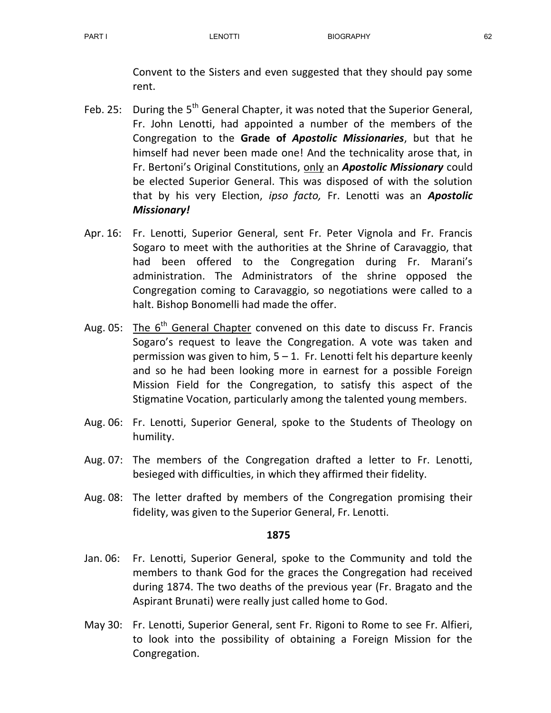Convent to the Sisters and even suggested that they should pay some rent.

- Feb. 25: During the  $5<sup>th</sup>$  General Chapter, it was noted that the Superior General, Fr. John Lenotti, had appointed a number of the members of the Congregation to the Grade of Apostolic Missionaries, but that he himself had never been made one! And the technicality arose that, in Fr. Bertoni's Original Constitutions, only an **Apostolic Missionary** could be elected Superior General. This was disposed of with the solution that by his very Election, ipso facto, Fr. Lenotti was an **Apostolic** Missionary!
- Apr. 16: Fr. Lenotti, Superior General, sent Fr. Peter Vignola and Fr. Francis Sogaro to meet with the authorities at the Shrine of Caravaggio, that had been offered to the Congregation during Fr. Marani's administration. The Administrators of the shrine opposed the Congregation coming to Caravaggio, so negotiations were called to a halt. Bishop Bonomelli had made the offer.
- Aug. 05: The  $6<sup>th</sup>$  General Chapter convened on this date to discuss Fr. Francis Sogaro's request to leave the Congregation. A vote was taken and permission was given to him,  $5 - 1$ . Fr. Lenotti felt his departure keenly and so he had been looking more in earnest for a possible Foreign Mission Field for the Congregation, to satisfy this aspect of the Stigmatine Vocation, particularly among the talented young members.
- Aug. 06: Fr. Lenotti, Superior General, spoke to the Students of Theology on humility.
- Aug. 07: The members of the Congregation drafted a letter to Fr. Lenotti, besieged with difficulties, in which they affirmed their fidelity.
- Aug. 08: The letter drafted by members of the Congregation promising their fidelity, was given to the Superior General, Fr. Lenotti.

- Jan. 06: Fr. Lenotti, Superior General, spoke to the Community and told the members to thank God for the graces the Congregation had received during 1874. The two deaths of the previous year (Fr. Bragato and the Aspirant Brunati) were really just called home to God.
- May 30: Fr. Lenotti, Superior General, sent Fr. Rigoni to Rome to see Fr. Alfieri, to look into the possibility of obtaining a Foreign Mission for the Congregation.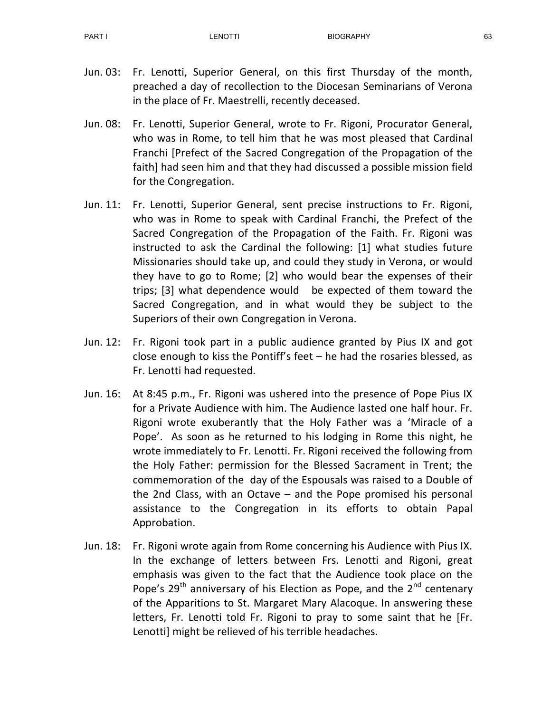- Jun. 03: Fr. Lenotti, Superior General, on this first Thursday of the month, preached a day of recollection to the Diocesan Seminarians of Verona in the place of Fr. Maestrelli, recently deceased.
- Jun. 08: Fr. Lenotti, Superior General, wrote to Fr. Rigoni, Procurator General, who was in Rome, to tell him that he was most pleased that Cardinal Franchi [Prefect of the Sacred Congregation of the Propagation of the faith] had seen him and that they had discussed a possible mission field for the Congregation.
- Jun. 11: Fr. Lenotti, Superior General, sent precise instructions to Fr. Rigoni, who was in Rome to speak with Cardinal Franchi, the Prefect of the Sacred Congregation of the Propagation of the Faith. Fr. Rigoni was instructed to ask the Cardinal the following: [1] what studies future Missionaries should take up, and could they study in Verona, or would they have to go to Rome; [2] who would bear the expenses of their trips; [3] what dependence would be expected of them toward the Sacred Congregation, and in what would they be subject to the Superiors of their own Congregation in Verona.
- Jun. 12: Fr. Rigoni took part in a public audience granted by Pius IX and got close enough to kiss the Pontiff's feet – he had the rosaries blessed, as Fr. Lenotti had requested.
- Jun. 16: At 8:45 p.m., Fr. Rigoni was ushered into the presence of Pope Pius IX for a Private Audience with him. The Audience lasted one half hour. Fr. Rigoni wrote exuberantly that the Holy Father was a 'Miracle of a Pope'. As soon as he returned to his lodging in Rome this night, he wrote immediately to Fr. Lenotti. Fr. Rigoni received the following from the Holy Father: permission for the Blessed Sacrament in Trent; the commemoration of the day of the Espousals was raised to a Double of the 2nd Class, with an Octave – and the Pope promised his personal assistance to the Congregation in its efforts to obtain Papal Approbation.
- Jun. 18: Fr. Rigoni wrote again from Rome concerning his Audience with Pius IX. In the exchange of letters between Frs. Lenotti and Rigoni, great emphasis was given to the fact that the Audience took place on the Pope's  $29<sup>th</sup>$  anniversary of his Election as Pope, and the  $2<sup>nd</sup>$  centenary of the Apparitions to St. Margaret Mary Alacoque. In answering these letters, Fr. Lenotti told Fr. Rigoni to pray to some saint that he [Fr. Lenotti] might be relieved of his terrible headaches.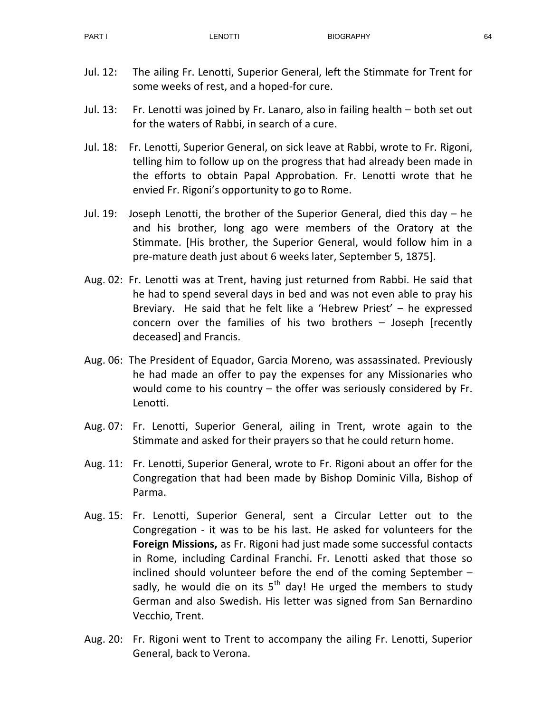- Jul. 12: The ailing Fr. Lenotti, Superior General, left the Stimmate for Trent for some weeks of rest, and a hoped-for cure.
- Jul. 13: Fr. Lenotti was joined by Fr. Lanaro, also in failing health both set out for the waters of Rabbi, in search of a cure.
- Jul. 18: Fr. Lenotti, Superior General, on sick leave at Rabbi, wrote to Fr. Rigoni, telling him to follow up on the progress that had already been made in the efforts to obtain Papal Approbation. Fr. Lenotti wrote that he envied Fr. Rigoni's opportunity to go to Rome.
- Jul. 19: Joseph Lenotti, the brother of the Superior General, died this day he and his brother, long ago were members of the Oratory at the Stimmate. [His brother, the Superior General, would follow him in a pre-mature death just about 6 weeks later, September 5, 1875].
- Aug. 02: Fr. Lenotti was at Trent, having just returned from Rabbi. He said that he had to spend several days in bed and was not even able to pray his Breviary. He said that he felt like a 'Hebrew Priest' – he expressed concern over the families of his two brothers – Joseph [recently deceased] and Francis.
- Aug. 06: The President of Equador, Garcia Moreno, was assassinated. Previously he had made an offer to pay the expenses for any Missionaries who would come to his country – the offer was seriously considered by Fr. Lenotti.
- Aug. 07: Fr. Lenotti, Superior General, ailing in Trent, wrote again to the Stimmate and asked for their prayers so that he could return home.
- Aug. 11: Fr. Lenotti, Superior General, wrote to Fr. Rigoni about an offer for the Congregation that had been made by Bishop Dominic Villa, Bishop of Parma.
- Aug. 15: Fr. Lenotti, Superior General, sent a Circular Letter out to the Congregation - it was to be his last. He asked for volunteers for the Foreign Missions, as Fr. Rigoni had just made some successful contacts in Rome, including Cardinal Franchi. Fr. Lenotti asked that those so inclined should volunteer before the end of the coming September – sadly, he would die on its  $5<sup>th</sup>$  day! He urged the members to study German and also Swedish. His letter was signed from San Bernardino Vecchio, Trent.
- Aug. 20: Fr. Rigoni went to Trent to accompany the ailing Fr. Lenotti, Superior General, back to Verona.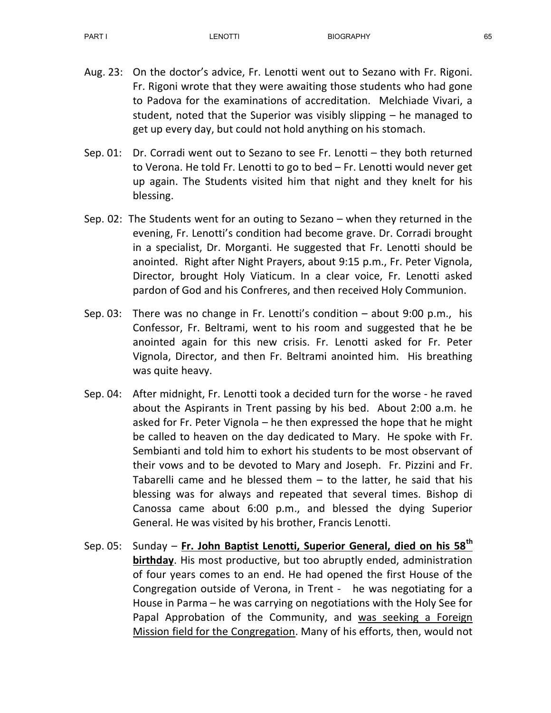- Aug. 23: On the doctor's advice, Fr. Lenotti went out to Sezano with Fr. Rigoni. Fr. Rigoni wrote that they were awaiting those students who had gone to Padova for the examinations of accreditation. Melchiade Vivari, a student, noted that the Superior was visibly slipping – he managed to get up every day, but could not hold anything on his stomach.
- Sep. 01: Dr. Corradi went out to Sezano to see Fr. Lenotti they both returned to Verona. He told Fr. Lenotti to go to bed – Fr. Lenotti would never get up again. The Students visited him that night and they knelt for his blessing.
- Sep. 02: The Students went for an outing to Sezano when they returned in the evening, Fr. Lenotti's condition had become grave. Dr. Corradi brought in a specialist, Dr. Morganti. He suggested that Fr. Lenotti should be anointed. Right after Night Prayers, about 9:15 p.m., Fr. Peter Vignola, Director, brought Holy Viaticum. In a clear voice, Fr. Lenotti asked pardon of God and his Confreres, and then received Holy Communion.
- Sep. 03: There was no change in Fr. Lenotti's condition about 9:00 p.m., his Confessor, Fr. Beltrami, went to his room and suggested that he be anointed again for this new crisis. Fr. Lenotti asked for Fr. Peter Vignola, Director, and then Fr. Beltrami anointed him. His breathing was quite heavy.
- Sep. 04: After midnight, Fr. Lenotti took a decided turn for the worse he raved about the Aspirants in Trent passing by his bed. About 2:00 a.m. he asked for Fr. Peter Vignola – he then expressed the hope that he might be called to heaven on the day dedicated to Mary. He spoke with Fr. Sembianti and told him to exhort his students to be most observant of their vows and to be devoted to Mary and Joseph. Fr. Pizzini and Fr. Tabarelli came and he blessed them  $-$  to the latter, he said that his blessing was for always and repeated that several times. Bishop di Canossa came about 6:00 p.m., and blessed the dying Superior General. He was visited by his brother, Francis Lenotti.
- Sep. 05: Sunday Fr. John Baptist Lenotti, Superior General, died on his 58<sup>th</sup> birthday. His most productive, but too abruptly ended, administration of four years comes to an end. He had opened the first House of the Congregation outside of Verona, in Trent - he was negotiating for a House in Parma – he was carrying on negotiations with the Holy See for Papal Approbation of the Community, and was seeking a Foreign Mission field for the Congregation. Many of his efforts, then, would not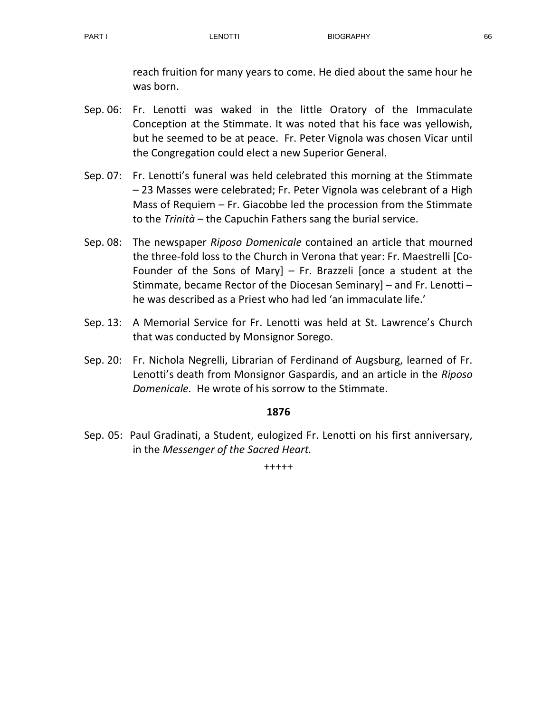reach fruition for many years to come. He died about the same hour he was born.

- Sep. 06: Fr. Lenotti was waked in the little Oratory of the Immaculate Conception at the Stimmate. It was noted that his face was yellowish, but he seemed to be at peace. Fr. Peter Vignola was chosen Vicar until the Congregation could elect a new Superior General.
- Sep. 07: Fr. Lenotti's funeral was held celebrated this morning at the Stimmate – 23 Masses were celebrated; Fr. Peter Vignola was celebrant of a High Mass of Requiem – Fr. Giacobbe led the procession from the Stimmate to the Trinità – the Capuchin Fathers sang the burial service.
- Sep. 08: The newspaper Riposo Domenicale contained an article that mourned the three-fold loss to the Church in Verona that year: Fr. Maestrelli [Co-Founder of the Sons of Mary] – Fr. Brazzeli [once a student at the Stimmate, became Rector of the Diocesan Seminary] – and Fr. Lenotti – he was described as a Priest who had led 'an immaculate life.'
- Sep. 13: A Memorial Service for Fr. Lenotti was held at St. Lawrence's Church that was conducted by Monsignor Sorego.
- Sep. 20: Fr. Nichola Negrelli, Librarian of Ferdinand of Augsburg, learned of Fr. Lenotti's death from Monsignor Gaspardis, and an article in the Riposo Domenicale. He wrote of his sorrow to the Stimmate.

## 1876

Sep. 05: Paul Gradinati, a Student, eulogized Fr. Lenotti on his first anniversary, in the Messenger of the Sacred Heart.

+++++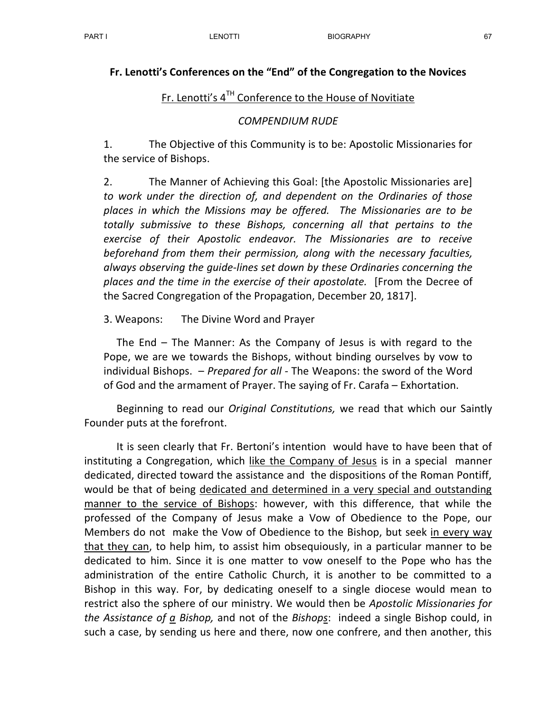## Fr. Lenotti's Conferences on the "End" of the Congregation to the Novices

## Fr. Lenotti's  $4^{TH}$  Conference to the House of Novitiate

#### COMPENDIUM RUDE

1. The Objective of this Community is to be: Apostolic Missionaries for the service of Bishops.

2. The Manner of Achieving this Goal: [the Apostolic Missionaries are] to work under the direction of, and dependent on the Ordinaries of those places in which the Missions may be offered. The Missionaries are to be totally submissive to these Bishops, concerning all that pertains to the exercise of their Apostolic endeavor. The Missionaries are to receive beforehand from them their permission, along with the necessary faculties, always observing the guide-lines set down by these Ordinaries concerning the places and the time in the exercise of their apostolate. [From the Decree of the Sacred Congregation of the Propagation, December 20, 1817].

3. Weapons: The Divine Word and Prayer

 The End – The Manner: As the Company of Jesus is with regard to the Pope, we are we towards the Bishops, without binding ourselves by vow to individual Bishops. – Prepared for all - The Weapons: the sword of the Word of God and the armament of Prayer. The saying of Fr. Carafa – Exhortation.

Beginning to read our *Original Constitutions*, we read that which our Saintly Founder puts at the forefront.

 It is seen clearly that Fr. Bertoni's intention would have to have been that of instituting a Congregation, which like the Company of Jesus is in a special manner dedicated, directed toward the assistance and the dispositions of the Roman Pontiff, would be that of being dedicated and determined in a very special and outstanding manner to the service of Bishops: however, with this difference, that while the professed of the Company of Jesus make a Vow of Obedience to the Pope, our Members do not make the Vow of Obedience to the Bishop, but seek in every way that they can, to help him, to assist him obsequiously, in a particular manner to be dedicated to him. Since it is one matter to vow oneself to the Pope who has the administration of the entire Catholic Church, it is another to be committed to a Bishop in this way. For, by dedicating oneself to a single diocese would mean to restrict also the sphere of our ministry. We would then be Apostolic Missionaries for the Assistance of  $a$  Bishop, and not of the Bishops: indeed a single Bishop could, in such a case, by sending us here and there, now one confrere, and then another, this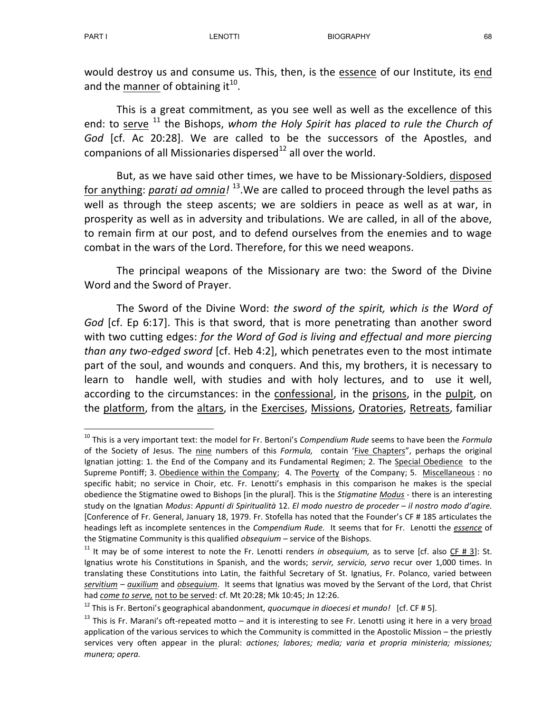-

would destroy us and consume us. This, then, is the essence of our Institute, its end and the manner of obtaining it<sup>10</sup>.

 This is a great commitment, as you see well as well as the excellence of this end: to serve  $11$ <sup>-</sup> the Bishops, whom the Holy Spirit has placed to rule the Church of God [cf. Ac 20:28]. We are called to be the successors of the Apostles, and companions of all Missionaries dispersed $^{12}$  all over the world.

 But, as we have said other times, we have to be Missionary-Soldiers, disposed for anything: *parati ad omnia!* <sup>13</sup>.We are called to proceed through the level paths as well as through the steep ascents; we are soldiers in peace as well as at war, in prosperity as well as in adversity and tribulations. We are called, in all of the above, to remain firm at our post, and to defend ourselves from the enemies and to wage combat in the wars of the Lord. Therefore, for this we need weapons.

 The principal weapons of the Missionary are two: the Sword of the Divine Word and the Sword of Prayer.

 The Sword of the Divine Word: the sword of the spirit, which is the Word of God [cf. Ep 6:17]. This is that sword, that is more penetrating than another sword with two cutting edges: for the Word of God is living and effectual and more piercing than any two-edged sword [cf. Heb 4:2], which penetrates even to the most intimate part of the soul, and wounds and conquers. And this, my brothers, it is necessary to learn to handle well, with studies and with holy lectures, and to use it well, according to the circumstances: in the confessional, in the prisons, in the pulpit, on the platform, from the altars, in the Exercises, Missions, Oratories, Retreats, familiar

<sup>&</sup>lt;sup>10</sup> This is a very important text: the model for Fr. Bertoni's Compendium Rude seems to have been the Formula of the Society of Jesus. The nine numbers of this Formula, contain 'Five Chapters", perhaps the original Ignatian jotting: 1. the End of the Company and its Fundamental Regimen; 2. The Special Obedience to the Supreme Pontiff; 3. Obedience within the Company; 4. The Poverty of the Company; 5. Miscellaneous : no specific habit; no service in Choir, etc. Fr. Lenotti's emphasis in this comparison he makes is the special obedience the Stigmatine owed to Bishops [in the plural]. This is the Stigmatine Modus - there is an interesting study on the Ignatian Modus: Appunti di Spiritualità 12. El modo nuestro de proceder – il nostro modo d'agire. [Conference of Fr. General, January 18, 1979. Fr. Stofella has noted that the Founder's CF # 185 articulates the headings left as incomplete sentences in the Compendium Rude. It seems that for Fr. Lenotti the essence of the Stigmatine Community is this qualified obsequium - service of the Bishops.

<sup>&</sup>lt;sup>11</sup> It mav be of some interest to note the Fr. Lenotti renders in obsequium, as to serve [cf. also  $CF # 3$ ]: St. Ignatius wrote his Constitutions in Spanish, and the words; servir, servicio, servo recur over 1,000 times. In translating these Constitutions into Latin, the faithful Secretary of St. Ignatius, Fr. Polanco, varied between servitium - auxilium and obsequium. It seems that Ignatius was moved by the Servant of the Lord, that Christ had come to serve, not to be served: cf. Mt 20:28; Mk 10:45; Jn 12:26.

 $12$  This is Fr. Bertoni's geographical abandonment, quocumque in dioecesi et mundo! [cf. CF # 5].

 $13$  This is Fr. Marani's oft-repeated motto – and it is interesting to see Fr. Lenotti using it here in a very broad application of the various services to which the Community is committed in the Apostolic Mission – the priestly services very often appear in the plural: actiones; labores; media; varia et propria ministeria; missiones; munera; opera.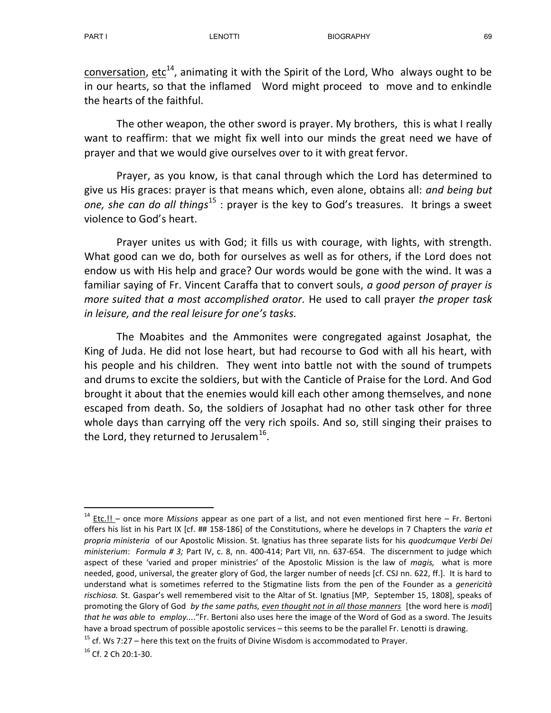conversation, etc<sup>14</sup>, animating it with the Spirit of the Lord, Who always ought to be in our hearts, so that the inflamed Word might proceed to move and to enkindle the hearts of the faithful.

 The other weapon, the other sword is prayer. My brothers, this is what I really want to reaffirm: that we might fix well into our minds the great need we have of prayer and that we would give ourselves over to it with great fervor.

 Prayer, as you know, is that canal through which the Lord has determined to give us His graces: prayer is that means which, even alone, obtains all: and being but one, she can do all things<sup>15</sup> : prayer is the key to God's treasures. It brings a sweet violence to God's heart.

Prayer unites us with God; it fills us with courage, with lights, with strength. What good can we do, both for ourselves as well as for others, if the Lord does not endow us with His help and grace? Our words would be gone with the wind. It was a familiar saying of Fr. Vincent Caraffa that to convert souls, a good person of prayer is more suited that a most accomplished orator. He used to call prayer the proper task in leisure, and the real leisure for one's tasks.

The Moabites and the Ammonites were congregated against Josaphat, the King of Juda. He did not lose heart, but had recourse to God with all his heart, with his people and his children. They went into battle not with the sound of trumpets and drums to excite the soldiers, but with the Canticle of Praise for the Lord. And God brought it about that the enemies would kill each other among themselves, and none escaped from death. So, the soldiers of Josaphat had no other task other for three whole days than carrying off the very rich spoils. And so, still singing their praises to the Lord, they returned to Jerusalem<sup>16</sup>.

-

 $14$  Etc.!! – once more Missions appear as one part of a list, and not even mentioned first here – Fr. Bertoni offers his list in his Part IX [cf. ## 158-186] of the Constitutions, where he develops in 7 Chapters the varia et propria ministeria of our Apostolic Mission. St. Ignatius has three separate lists for his quodcumque Verbi Dei ministerium: Formula # 3; Part IV, c. 8, nn. 400-414; Part VII, nn. 637-654. The discernment to judge which aspect of these 'varied and proper ministries' of the Apostolic Mission is the law of *magis*, what is more needed, good, universal, the greater glory of God, the larger number of needs [cf. CSJ nn. 622, ff.]. It is hard to understand what is sometimes referred to the Stigmatine lists from the pen of the Founder as a genericità rischiosa. St. Gaspar's well remembered visit to the Altar of St. Ignatius [MP, September 15, 1808], speaks of promoting the Glory of God by the same paths, even thought not in all those manners [the word here is modi] that he was able to employ...."Fr. Bertoni also uses here the image of the Word of God as a sword. The Jesuits have a broad spectrum of possible apostolic services – this seems to be the parallel Fr. Lenotti is drawing.

 $15$  cf. Ws 7:27 – here this text on the fruits of Divine Wisdom is accommodated to Prayer.

<sup>16</sup> Cf. 2 Ch 20:1-30.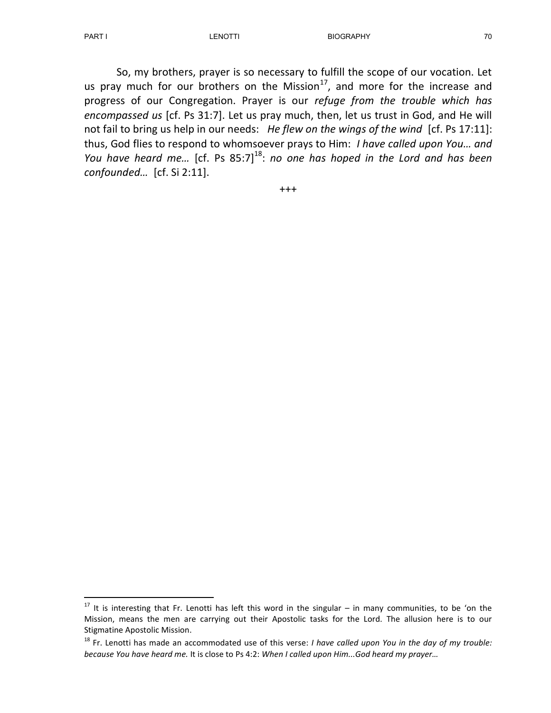-

So, my brothers, prayer is so necessary to fulfill the scope of our vocation. Let us pray much for our brothers on the Mission $^{17}$ , and more for the increase and progress of our Congregation. Prayer is our refuge from the trouble which has encompassed us [cf. Ps 31:7]. Let us pray much, then, let us trust in God, and He will not fail to bring us help in our needs: He flew on the wings of the wind [cf. Ps 17:11]: thus, God flies to respond to whomsoever prays to Him: I have called upon You… and You have heard me... [cf. Ps  $85:7$ ]<sup>18</sup>: no one has hoped in the Lord and has been confounded... [cf. Si 2:11].

+++

 $17$  It is interesting that Fr. Lenotti has left this word in the singular – in many communities, to be 'on the Mission, means the men are carrying out their Apostolic tasks for the Lord. The allusion here is to our Stigmatine Apostolic Mission.

 $18$  Fr. Lenotti has made an accommodated use of this verse: *I have called upon You in the day of my trouble:* because You have heard me. It is close to Ps 4:2: When I called upon Him...God heard my prayer…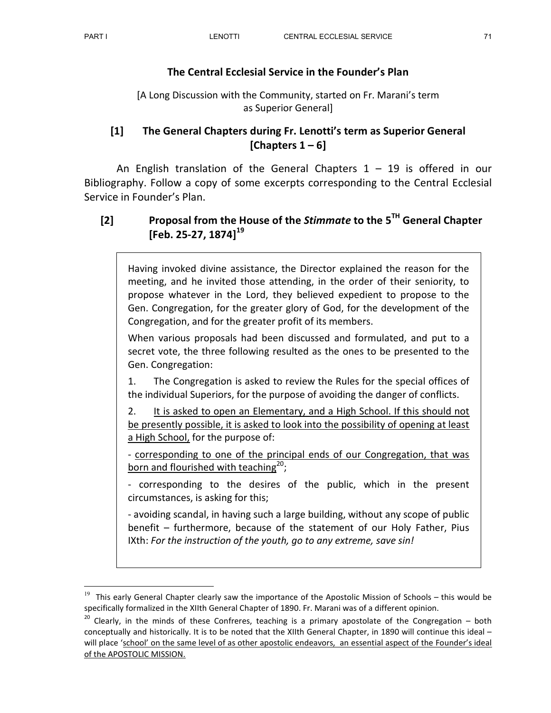-

## The Central Ecclesial Service in the Founder's Plan

[A Long Discussion with the Community, started on Fr. Marani's term as Superior General]

## [1] The General Chapters during Fr. Lenotti's term as Superior General [Chapters  $1 - 6$ ]

An English translation of the General Chapters  $1 - 19$  is offered in our Bibliography. Follow a copy of some excerpts corresponding to the Central Ecclesial Service in Founder's Plan.

# [2] Proposal from the House of the Stimmate to the  $5<sup>TH</sup>$  General Chapter [Feb. 25-27, 1874]<sup>19</sup>

Having invoked divine assistance, the Director explained the reason for the meeting, and he invited those attending, in the order of their seniority, to propose whatever in the Lord, they believed expedient to propose to the Gen. Congregation, for the greater glory of God, for the development of the Congregation, and for the greater profit of its members.

When various proposals had been discussed and formulated, and put to a secret vote, the three following resulted as the ones to be presented to the Gen. Congregation:

1. The Congregation is asked to review the Rules for the special offices of the individual Superiors, for the purpose of avoiding the danger of conflicts.

2. It is asked to open an Elementary, and a High School. If this should not be presently possible, it is asked to look into the possibility of opening at least a High School, for the purpose of:

- corresponding to one of the principal ends of our Congregation, that was born and flourished with teaching<sup>20</sup>;

- corresponding to the desires of the public, which in the present circumstances, is asking for this;

- avoiding scandal, in having such a large building, without any scope of public benefit – furthermore, because of the statement of our Holy Father, Pius IXth: For the instruction of the youth, go to any extreme, save sin!

 $19$  This early General Chapter clearly saw the importance of the Apostolic Mission of Schools – this would be specifically formalized in the XIIth General Chapter of 1890. Fr. Marani was of a different opinion.

 $20$  Clearly, in the minds of these Confreres, teaching is a primary apostolate of the Congregation – both conceptually and historically. It is to be noted that the XIIth General Chapter, in 1890 will continue this ideal – will place 'school' on the same level of as other apostolic endeavors, an essential aspect of the Founder's ideal of the APOSTOLIC MISSION.